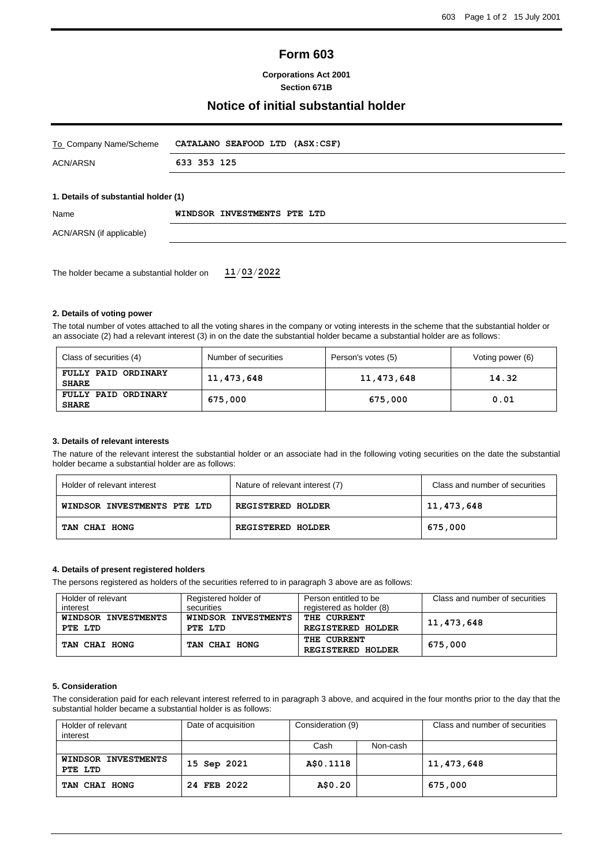# **Form 603**

## **Corporations Act 2001 Section 671B**

## **Notice of initial substantial holder**

| To Company Name/Scheme               | CATALANO SEAFOOD LTD (ASX:CSF) |  |  |
|--------------------------------------|--------------------------------|--|--|
| <b>ACN/ARSN</b>                      | 633 353 125                    |  |  |
|                                      |                                |  |  |
| 1. Details of substantial holder (1) |                                |  |  |
| Name                                 | WINDSOR INVESTMENTS PTE LTD    |  |  |
| ACN/ARSN (if applicable)             |                                |  |  |
|                                      |                                |  |  |
|                                      |                                |  |  |

### **2. Details of voting power**

The total number of votes attached to all the voting shares in the company or voting interests in the scheme that the substantial holder or an associate (2) had a relevant interest (3) in on the date the substantial holder became a substantial holder are as follows:

| Class of securities (4)             | Number of securities | Person's votes (5) | Voting power (6) |
|-------------------------------------|----------------------|--------------------|------------------|
| FULLY PAID ORDINARY<br><b>SHARE</b> | 11,473,648           | 11,473,648         | 14.32            |
| FULLY PAID ORDINARY<br><b>SHARE</b> | 675,000              | 675,000            | 0.01             |

#### **3. Details of relevant interests**

The nature of the relevant interest the substantial holder or an associate had in the following voting securities on the date the substantial holder became a substantial holder are as follows:

| Holder of relevant interest | Nature of relevant interest (7) | Class and number of securities |
|-----------------------------|---------------------------------|--------------------------------|
| WINDSOR INVESTMENTS PTE LTD | <b>REGISTERED HOLDER</b>        | 11,473,648                     |
| TAN CHAI HONG               | <b>REGISTERED HOLDER</b>        | 675,000                        |

## **4. Details of present registered holders**

The persons registered as holders of the securities referred to in paragraph 3 above are as follows:

| Holder of relevant  | Registered holder of | Person entitled to be    | Class and number of securities |
|---------------------|----------------------|--------------------------|--------------------------------|
| interest            | securities           | registered as holder (8) |                                |
| WINDSOR INVESTMENTS | WINDSOR INVESTMENTS  | <b>THE CURRENT</b>       | 11,473,648                     |
| PTE LTD             | PTE LTD              | <b>REGISTERED HOLDER</b> |                                |
|                     |                      | THE CURRENT              |                                |
| TAN CHAI HONG       | TAN CHAI HONG        | <b>REGISTERED HOLDER</b> | 675,000                        |

#### **5. Consideration**

The consideration paid for each relevant interest referred to in paragraph 3 above, and acquired in the four months prior to the day that the substantial holder became a substantial holder is as follows:

| Holder of relevant<br>interest | Date of acquisition | Consideration (9) |          | Class and number of securities |
|--------------------------------|---------------------|-------------------|----------|--------------------------------|
|                                |                     | Cash              | Non-cash |                                |
| WINDSOR INVESTMENTS<br>PTE LTD | 15 Sep 2021         | A\$0.1118         |          | 11,473,648                     |
| TAN CHAI HONG                  | 24 FEB 2022         | A\$0.20           |          | 675,000                        |